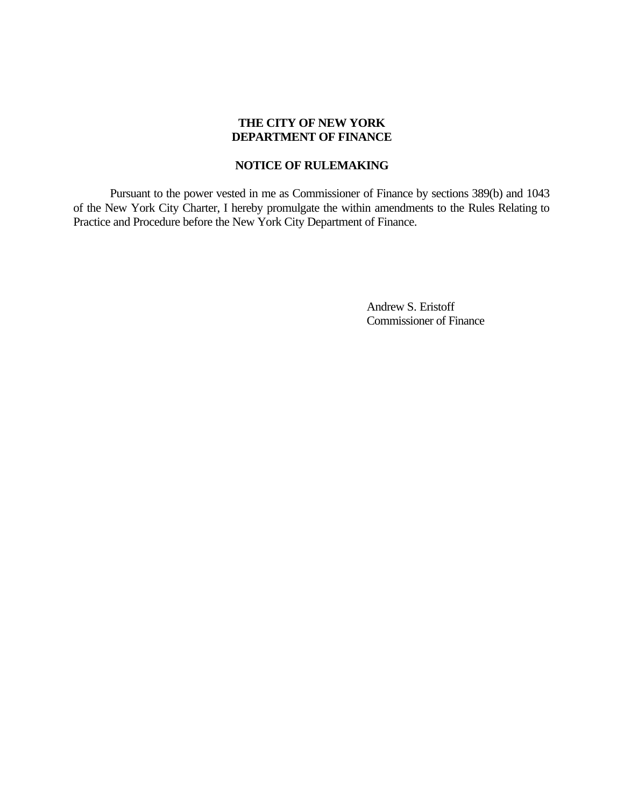# **THE CITY OF NEW YORK DEPARTMENT OF FINANCE**

## **NOTICE OF RULEMAKING**

Pursuant to the power vested in me as Commissioner of Finance by sections 389(b) and 1043 of the New York City Charter, I hereby promulgate the within amendments to the Rules Relating to Practice and Procedure before the New York City Department of Finance.

> Andrew S. Eristoff Commissioner of Finance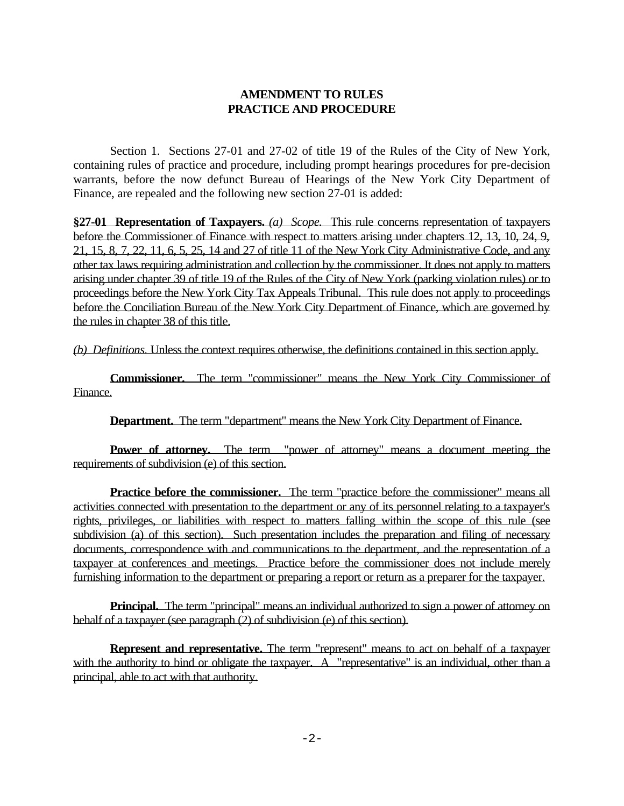# **AMENDMENT TO RULES PRACTICE AND PROCEDURE**

Section 1. Sections 27-01 and 27-02 of title 19 of the Rules of the City of New York, containing rules of practice and procedure, including prompt hearings procedures for pre-decision warrants, before the now defunct Bureau of Hearings of the New York City Department of Finance, are repealed and the following new section 27-01 is added:

**§27-01 Representation of Taxpayers.** *(a) Scope.* This rule concerns representation of taxpayers before the Commissioner of Finance with respect to matters arising under chapters 12, 13, 10, 24, 9, 21, 15, 8, 7, 22, 11, 6, 5, 25, 14 and 27 of title 11 of the New York City Administrative Code, and any other tax laws requiring administration and collection by the commissioner. It does not apply to matters arising under chapter 39 of title 19 of the Rules of the City of New York (parking violation rules) or to proceedings before the New York City Tax Appeals Tribunal. This rule does not apply to proceedings before the Conciliation Bureau of the New York City Department of Finance, which are governed by the rules in chapter 38 of this title.

*(b) Definitions.* Unless the context requires otherwise, the definitions contained in this section apply.

**Commissioner.** The term "commissioner" means the New York City Commissioner of Finance.

**Department.** The term "department" means the New York City Department of Finance.

**Power of attorney.** The term "power of attorney" means a document meeting the requirements of subdivision (e) of this section.

**Practice before the commissioner.** The term "practice before the commissioner" means all activities connected with presentation to the department or any of its personnel relating to a taxpayer's rights, privileges, or liabilities with respect to matters falling within the scope of this rule (see subdivision (a) of this section). Such presentation includes the preparation and filing of necessary documents, correspondence with and communications to the department, and the representation of a taxpayer at conferences and meetings. Practice before the commissioner does not include merely furnishing information to the department or preparing a report or return as a preparer for the taxpayer.

**Principal.** The term "principal" means an individual authorized to sign a power of attorney on behalf of a taxpayer (see paragraph (2) of subdivision (e) of this section).

**Represent and representative.** The term "represent" means to act on behalf of a taxpayer with the authority to bind or obligate the taxpayer. A "representative" is an individual, other than a principal, able to act with that authority.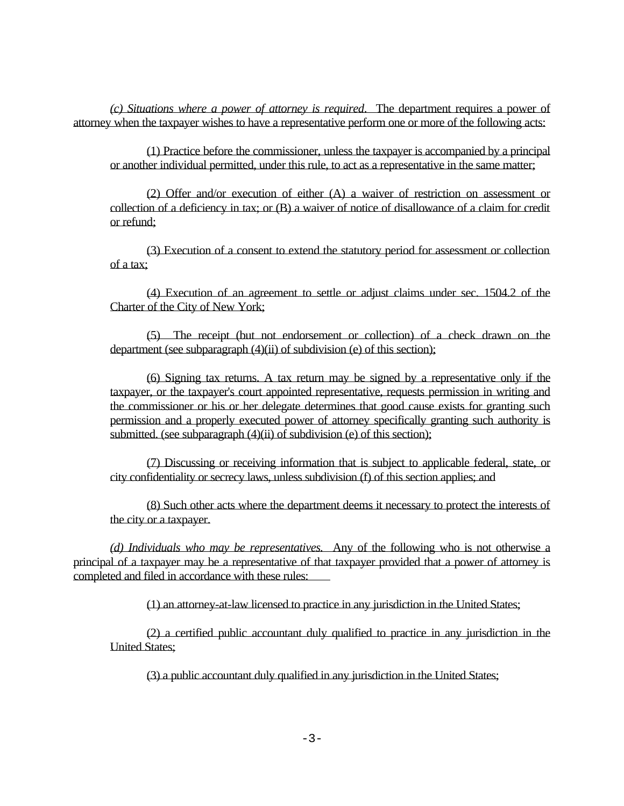*(c) Situations where a power of attorney is required*. The department requires a power of attorney when the taxpayer wishes to have a representative perform one or more of the following acts:

(1) Practice before the commissioner, unless the taxpayer is accompanied by a principal or another individual permitted, under this rule, to act as a representative in the same matter;

(2) Offer and/or execution of either (A) a waiver of restriction on assessment or collection of a deficiency in tax; or (B) a waiver of notice of disallowance of a claim for credit or refund;

(3) Execution of a consent to extend the statutory period for assessment or collection of a tax;

(4) Execution of an agreement to settle or adjust claims under sec. 1504.2 of the Charter of the City of New York;

(5) The receipt (but not endorsement or collection) of a check drawn on the department (see subparagraph (4)(ii) of subdivision (e) of this section);

(6) Signing tax returns. A tax return may be signed by a representative only if the taxpayer, or the taxpayer's court appointed representative, requests permission in writing and the commissioner or his or her delegate determines that good cause exists for granting such permission and a properly executed power of attorney specifically granting such authority is submitted. (see subparagraph  $(4)$ (ii) of subdivision (e) of this section);

(7) Discussing or receiving information that is subject to applicable federal, state, or city confidentiality or secrecy laws, unless subdivision (f) of this section applies; and

(8) Such other acts where the department deems it necessary to protect the interests of the city or a taxpayer.

*(d) Individuals who may be representatives.* Any of the following who is not otherwise a principal of a taxpayer may be a representative of that taxpayer provided that a power of attorney is completed and filed in accordance with these rules:

(1) an attorney-at-law licensed to practice in any jurisdiction in the United States;

(2) a certified public accountant duly qualified to practice in any jurisdiction in the United States;

(3) a public accountant duly qualified in any jurisdiction in the United States;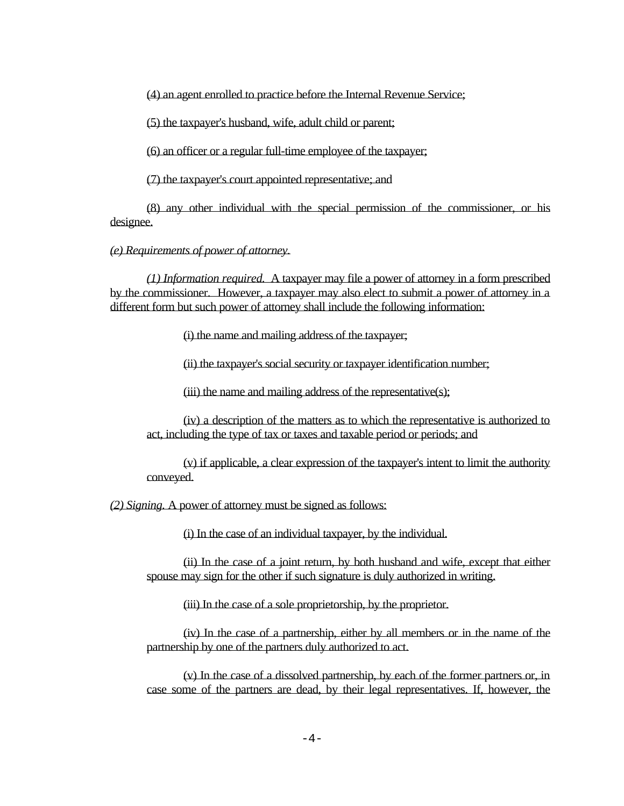(4) an agent enrolled to practice before the Internal Revenue Service;

(5) the taxpayer's husband, wife, adult child or parent;

(6) an officer or a regular full-time employee of the taxpayer;

(7) the taxpayer's court appointed representative; and

(8) any other individual with the special permission of the commissioner, or his designee.

*(e) Requirements of power of attorney.*

*(1) Information required.* A taxpayer may file a power of attorney in a form prescribed by the commissioner. However, a taxpayer may also elect to submit a power of attorney in a different form but such power of attorney shall include the following information:

(i) the name and mailing address of the taxpayer;

(ii) the taxpayer's social security or taxpayer identification number;

(iii) the name and mailing address of the representative(s);

(iv) a description of the matters as to which the representative is authorized to act, including the type of tax or taxes and taxable period or periods; and

(v) if applicable, a clear expression of the taxpayer's intent to limit the authority conveyed.

*(2) Signing.* A power of attorney must be signed as follows:

(i) In the case of an individual taxpayer, by the individual.

(ii) In the case of a joint return, by both husband and wife, except that either spouse may sign for the other if such signature is duly authorized in writing.

(iii) In the case of a sole proprietorship, by the proprietor.

(iv) In the case of a partnership, either by all members or in the name of the partnership by one of the partners duly authorized to act.

(v) In the case of a dissolved partnership, by each of the former partners or, in case some of the partners are dead, by their legal representatives. If, however, the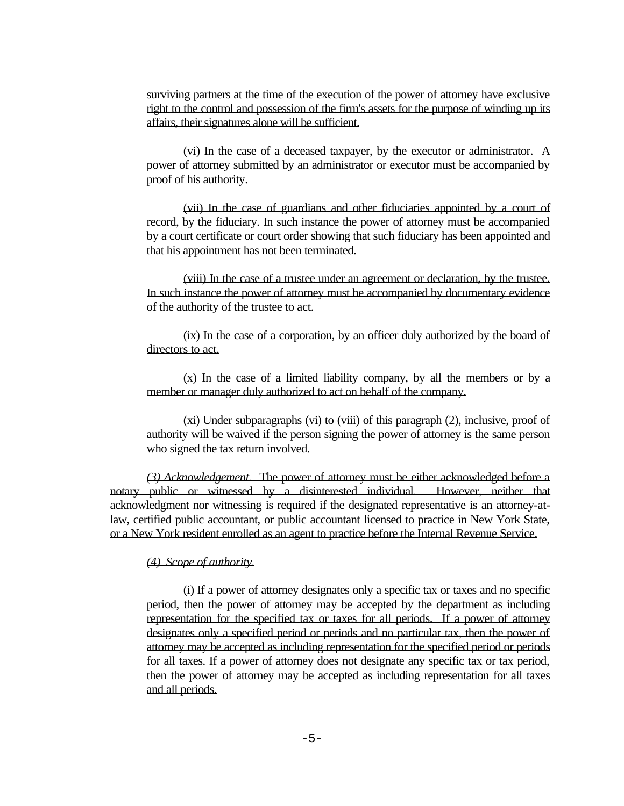surviving partners at the time of the execution of the power of attorney have exclusive right to the control and possession of the firm's assets for the purpose of winding up its affairs, their signatures alone will be sufficient.

(vi) In the case of a deceased taxpayer, by the executor or administrator. A power of attorney submitted by an administrator or executor must be accompanied by proof of his authority.

(vii) In the case of guardians and other fiduciaries appointed by a court of record, by the fiduciary. In such instance the power of attorney must be accompanied by a court certificate or court order showing that such fiduciary has been appointed and that his appointment has not been terminated.

(viii) In the case of a trustee under an agreement or declaration, by the trustee. In such instance the power of attorney must be accompanied by documentary evidence of the authority of the trustee to act.

(ix) In the case of a corporation, by an officer duly authorized by the board of directors to act.

(x) In the case of a limited liability company, by all the members or by a member or manager duly authorized to act on behalf of the company.

(xi) Under subparagraphs (vi) to (viii) of this paragraph (2), inclusive, proof of authority will be waived if the person signing the power of attorney is the same person who signed the tax return involved.

*(3) Acknowledgement.* The power of attorney must be either acknowledged before a notary public or witnessed by a disinterested individual. However, neither that acknowledgment nor witnessing is required if the designated representative is an attorney-atlaw, certified public accountant, or public accountant licensed to practice in New York State, or a New York resident enrolled as an agent to practice before the Internal Revenue Service.

*(4) Scope of authority.*

(i) If a power of attorney designates only a specific tax or taxes and no specific period, then the power of attorney may be accepted by the department as including representation for the specified tax or taxes for all periods. If a power of attorney designates only a specified period or periods and no particular tax, then the power of attorney may be accepted as including representation for the specified period or periods for all taxes. If a power of attorney does not designate any specific tax or tax period, then the power of attorney may be accepted as including representation for all taxes and all periods.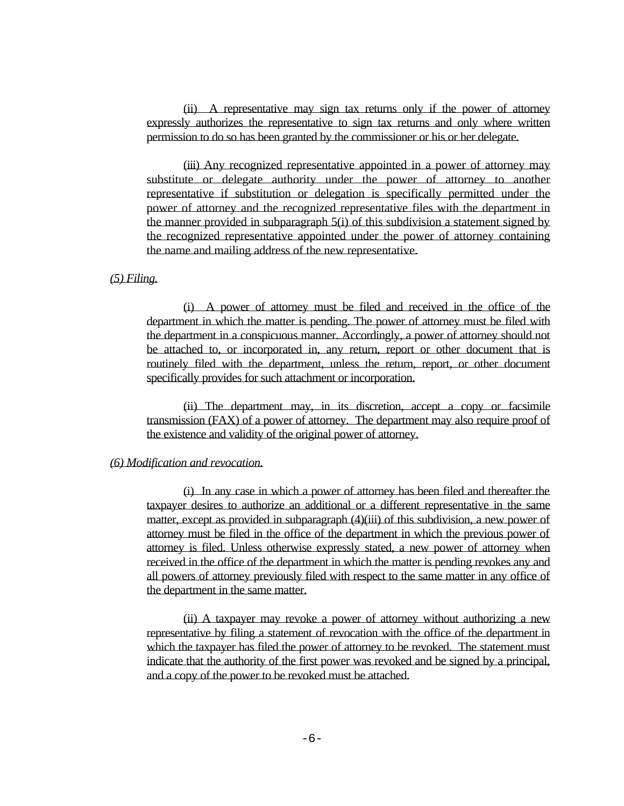(ii) A representative may sign tax returns only if the power of attorney expressly authorizes the representative to sign tax returns and only where written permission to do so has been granted by the commissioner or his or her delegate.

(iii) Any recognized representative appointed in a power of attorney may substitute or delegate authority under the power of attorney to another representative if substitution or delegation is specifically permitted under the power of attorney and the recognized representative files with the department in the manner provided in subparagraph 5(i) of this subdivision a statement signed by the recognized representative appointed under the power of attorney containing the name and mailing address of the new representative.

### *(5) Filing.*

(i) A power of attorney must be filed and received in the office of the department in which the matter is pending. The power of attorney must be filed with the department in a conspicuous manner. Accordingly, a power of attorney should not be attached to, or incorporated in, any return, report or other document that is routinely filed with the department, unless the return, report, or other document specifically provides for such attachment or incorporation.

(ii) The department may, in its discretion, accept a copy or facsimile transmission (FAX) of a power of attorney. The department may also require proof of the existence and validity of the original power of attorney.

#### *(6) Modification and revocation.*

(i) In any case in which a power of attorney has been filed and thereafter the taxpayer desires to authorize an additional or a different representative in the same matter, except as provided in subparagraph (4)(iii) of this subdivision, a new power of attorney must be filed in the office of the department in which the previous power of attorney is filed. Unless otherwise expressly stated, a new power of attorney when received in the office of the department in which the matter is pending revokes any and all powers of attorney previously filed with respect to the same matter in any office of the department in the same matter.

(ii) A taxpayer may revoke a power of attorney without authorizing a new representative by filing a statement of revocation with the office of the department in which the taxpayer has filed the power of attorney to be revoked. The statement must indicate that the authority of the first power was revoked and be signed by a principal, and a copy of the power to be revoked must be attached.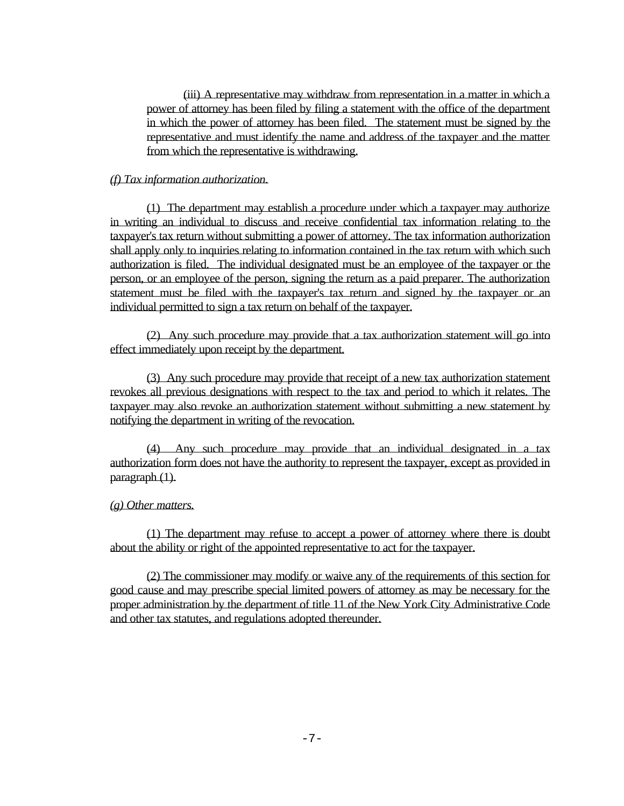(iii) A representative may withdraw from representation in a matter in which a power of attorney has been filed by filing a statement with the office of the department in which the power of attorney has been filed. The statement must be signed by the representative and must identify the name and address of the taxpayer and the matter from which the representative is withdrawing.

### *(f) Tax information authorization.*

(1) The department may establish a procedure under which a taxpayer may authorize in writing an individual to discuss and receive confidential tax information relating to the taxpayer's tax return without submitting a power of attorney. The tax information authorization shall apply only to inquiries relating to information contained in the tax return with which such authorization is filed. The individual designated must be an employee of the taxpayer or the person, or an employee of the person, signing the return as a paid preparer. The authorization statement must be filed with the taxpayer's tax return and signed by the taxpayer or an individual permitted to sign a tax return on behalf of the taxpayer.

(2) Any such procedure may provide that a tax authorization statement will go into effect immediately upon receipt by the department.

(3) Any such procedure may provide that receipt of a new tax authorization statement revokes all previous designations with respect to the tax and period to which it relates. The taxpayer may also revoke an authorization statement without submitting a new statement by notifying the department in writing of the revocation.

(4) Any such procedure may provide that an individual designated in a tax authorization form does not have the authority to represent the taxpayer, except as provided in paragraph (1).

## *(g) Other matters.*

(1) The department may refuse to accept a power of attorney where there is doubt about the ability or right of the appointed representative to act for the taxpayer.

(2) The commissioner may modify or waive any of the requirements of this section for good cause and may prescribe special limited powers of attorney as may be necessary for the proper administration by the department of title 11 of the New York City Administrative Code and other tax statutes, and regulations adopted thereunder.